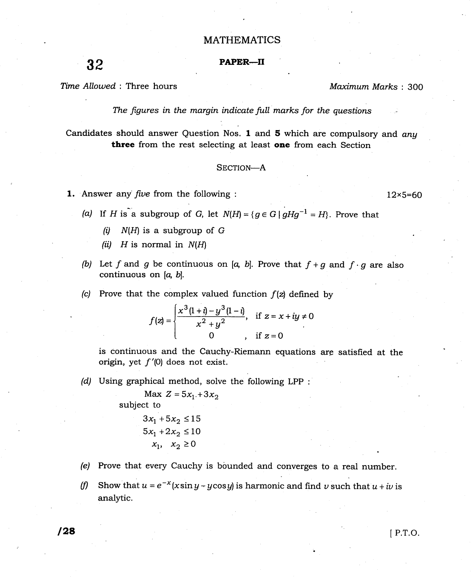## MATHEMATICS

# 32 PAPER-II

Time Allowed: Three hours Maximum Marks: 300

The figures in the margin indicate full marks for the questions

Candidates should answer Question Nos. 1 and 5 which are compulsory and any three from the rest selecting at least one from each Section

#### SECTION-A

- **1.** Answer any *five* from the following :  $12 \times 5=60$ 
	- (a) If H is a subgroup of G, let  $N(H) = \{g \in G \mid gHg^{-1} = H\}$ . Prove that
		- (i)  $N(H)$  is a subgroup of G
		- (ii)  $H$  is normal in  $N(H)$
	- (b) Let f and g be continuous on [a, b]. Prove that  $f + g$  and  $f \cdot g$  are also continuous on  $[a, b]$ .
	- (c) Prove that the complex valued function  $f(z)$  defined by

$$
f(z) = \begin{cases} \frac{x^3(1+i)-y^3(1-i)}{x^2+y^2}, & \text{if } z = x+iy \neq 0\\ 0, & \text{if } z = 0 \end{cases}
$$

is continuous and the Cauchy-Riemann equations are satisfied at the origin, yet  $f'(0)$  does not exist.

(d) Using graphical method, solve the following LPP :

Max  $Z = 5x_1 + 3x_2$ subject to  $3x_1 + 5x_2 \le 15$  $5x_1 + 2x_2 \le 10$  $x_1, x_2 \geq 0$ 

- (e) Prove that every Cauchy is bounded and converges to a real number.
- (f) Show that  $u = e^{-x}(x \sin y y \cos y)$  is harmonic and find v such that  $u + iv$  is analytic.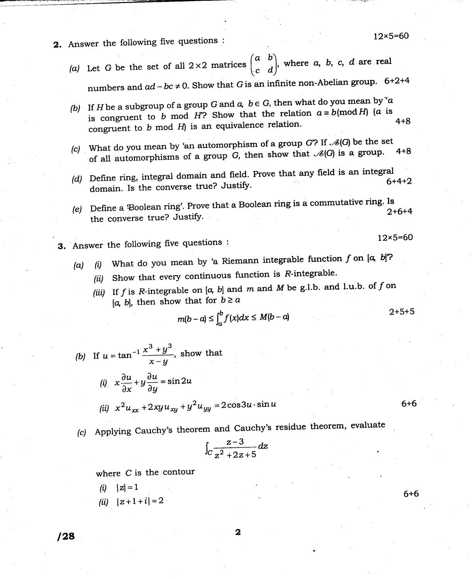- 2. Answer the following five questions :
	- (a) Let G be the set of all  $2\times 2$  matrices  $\begin{pmatrix} a & b \\ c & d \end{pmatrix}$ , where a, b, c, d are real numbers and  $ad-bc \neq 0$ . Show that G is an infinite non-Abelian group. 6+2+4
	- (b) If H be a subgroup of a group G and  $a, b \in G$ , then what do you mean by 'a is congruent to b mod H? Show that the relation  $a \equiv b \pmod{H}$  (a is 4+8 congruent to  $b$  mod  $H$ ) is an equivalence relation.
	- (c) What do you mean by 'an automorphism of a group G? If  $\mathcal{A}(G)$  be the set what do you mean by an deterministic process.<br>of all automorphisms of a group G, then show that  $\mathcal{A}(G)$  is a group. 4+8
	- (d) Define ring, integral domain and field. Prove that any field is an integral  $6+4+2$ domain. Is the converse true? Justify.
	- $(e)$  Define a Boolean ring'. Prove that a Boolean ring is a commutative ring. Is 2+6+4 the converse true? Justify.
- 3. Answer the following five questions :
	- (a) (i) What do you mean by 'a Riemann integrable function f on  $[a, b]^2$ ?
		- (ii) Show that every continuous function is  $R$ -integrable.
			- (iii) If  $f$  is  $R$ -integrable on  $[a, b]$  and  $m$  and  $M$  be g.l.b. and l.u.b. of  $f$  on [a, b], then show that for  $b \ge a$

$$
m(b-a) \leq \int_a^b f(x)dx \leq M(b-a)
$$

(b) If 
$$
u = \tan^{-1} \frac{x^3 + y^3}{x - y}
$$
, show that  
\n(i)  $x \frac{\partial u}{\partial x} + y \frac{\partial u}{\partial y} = \sin 2u$   
\n(ii)  $x^2 u_{xx} + 2xy u_{xy} + y^2 u_{yy} = 2\cos 3u \cdot \sin u$  6+6

(c) Applying Cauchy's theorem and Cauchy's residue theorem, clearly

$$
\int_C \frac{z-3}{z^2+2z+5} dz
$$

where C is the contour

- (*i*)  $|z|=1$
- (*ii*)  $|z+1+i|=2$

128

6+6

 $2+5+5$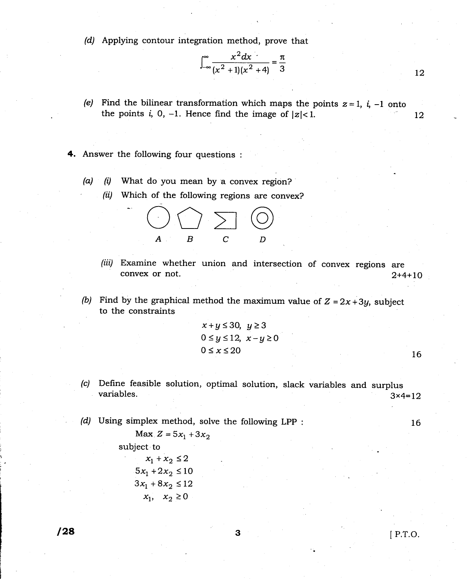(d) Applying contour integration method, prove that

$$
\int_{-\infty}^{\infty} \frac{x^2 dx}{(x^2 + 1)(x^2 + 4)} = \frac{\pi}{3}
$$

- (e) Find the bilinear transformation which maps the points  $z=1$ ,  $i$ ,  $-1$  onto the points i, 0, -1. Hence find the image of  $|z| < 1$ .
- 4. Answer the following four questions :
	- $(a)$  (i) What do you mean by a convex region?
		-



- (iii) Examine whether union and intersection of convex regions are convex or not.  $2+4+10$
- (b) Find by the graphical method the maximum value of  $Z = 2x + 3y$ , subject to the constraints

$$
x+y \le 30, y \ge 3
$$
  
0 \le y \le 12, x-y \ge 0  
0 \le x \le 20  
16

- (c) Define feasible solution, optimal solution, slack variables and surplus variables.  $3 \times 4=12$
- (d) Using simplex method, solve the following LPP :

Max  $Z = 5x_1 + 3x_2$ 

subject to

 $x_1 + x_2 \leq 2$  $5x_1 + 2x_2 \le 10$  $3x_1 + 8x_2 \le 12$  $x_1$ ,  $x_2 \ge 0$ 

 $\frac{1}{28}$  IP.T.O.

16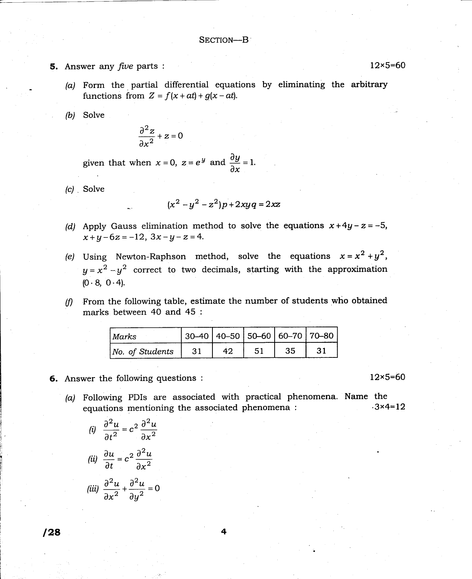### SECTION-B

- **5.** Answer any *five* parts :  $12 \times 5 = 60$ 
	- $(a)$  Form the partial differential equations by eliminating the arbitrary functions from  $Z = f(x + at) + g(x - at)$ .
	- (b) Solve

$$
\frac{\partial^2 z}{\partial x^2} + z = 0
$$

given that when  $x=0$ ,  $z=e^y$  and  $\frac{\partial y}{\partial x}=1$ .

 $(c)$  . Solve

$$
(x^2 - y^2 - z^2)p + 2xyq = 2xz
$$

- (d) Apply Gauss elimination method to solve the equations  $x+4y-z=-5$ ,  $x+y-6z=-12$ ,  $3x-y-z=4$ .
- (e) Using Newton-Raphson method, solve the equations  $x = x^2 + y^2$ ,  $y=x^2-y^2$  correct to two decimals, starting with the approximation  $(0.8, 0.4)$ .
- $(f)$  From the following table, estimate the number of students who obtained marks between 40 and 45 :

| <i>Marks</i>    | 30–40   40–50   50–60   60–70   70–80 |    |  |  |
|-----------------|---------------------------------------|----|--|--|
| No. of Students |                                       | 42 |  |  |

## **6.** Answer the following questions :  $12 \times 5 = 60$

(a) Following PDIs are associated with practical phenomena. Name the equations mentioning the associated phenomena :  $3 \times 4=12$ equations mentioning the associated phenomena :

(i) 
$$
\frac{\partial^2 u}{\partial t^2} = c^2 \frac{\partial^2 u}{\partial x^2}
$$
  
\n(ii) 
$$
\frac{\partial u}{\partial t} = c^2 \frac{\partial^2 u}{\partial x^2}
$$
  
\n(iii) 
$$
\frac{\partial^2 u}{\partial x^2} + \frac{\partial^2 u}{\partial y^2} = 0
$$

 $128$  4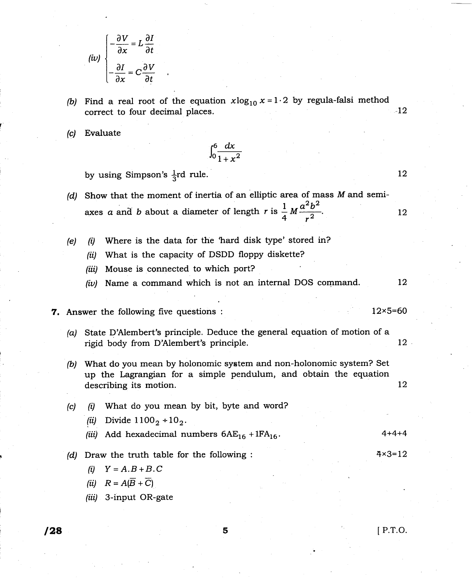$$
(iv)\begin{cases}\n-\frac{\partial V}{\partial x} = L\frac{\partial I}{\partial t} \\
-\frac{\partial I}{\partial x} = C\frac{\partial V}{\partial t}\n\end{cases}
$$

- (b) Find a real root of the equation  $x\log_{10} x = 1\cdot 2$  by regula-falsi method correct to four decimal places.  $-12$
- Evaluate (c)

$$
\int_0^6 \frac{dx}{1+x^2}
$$

by using Simpson's  $\frac{1}{3}$ rd rule.

- (d) Show that the moment of inertia of an elliptic area of mass  $M$  and semiaxes a and b about a diameter of length r is  $\frac{1}{4}M\frac{a^2b^2}{a^2}$ . L2
- (i) Where is the data for the 'hard disk type' stored in? (e)
	- (ii) What is the capacity of DSDD floppy diskette?
	- (iii) Mouse is connected to which port?
	- (iv) Name a command which is not an internal DOS command.  $12 \,$

## **7.** Answer the following five questions :  $12 \times 5=60$

- (a) State D'Alembert's principle. Deduce the general equation of motion of a rigid body from D'Alembert's principle. 12
- (b) What do you mean by holonomic system and non-holonomic system? Set up the Lagrangian for a simple pendulum, and obtain the equation describing its motion. I2
- $(c)$  (i) What do you mean by bit, byte and word? (*ii*) Divide  $1100_2 + 10_2$ . (iii) Add hexadecimal numbers  $6AE_{16} + 1FA_{16}$ .
- $(d)$  Draw the truth table for the following :  $4 \times 3 = 12$ 
	- (i)  $Y = A.B + B.C$
	- (ii)  $R=A(\overline{B}+\overline{C})$
	- (iii) 3-input OR-gate

4+4+4

12